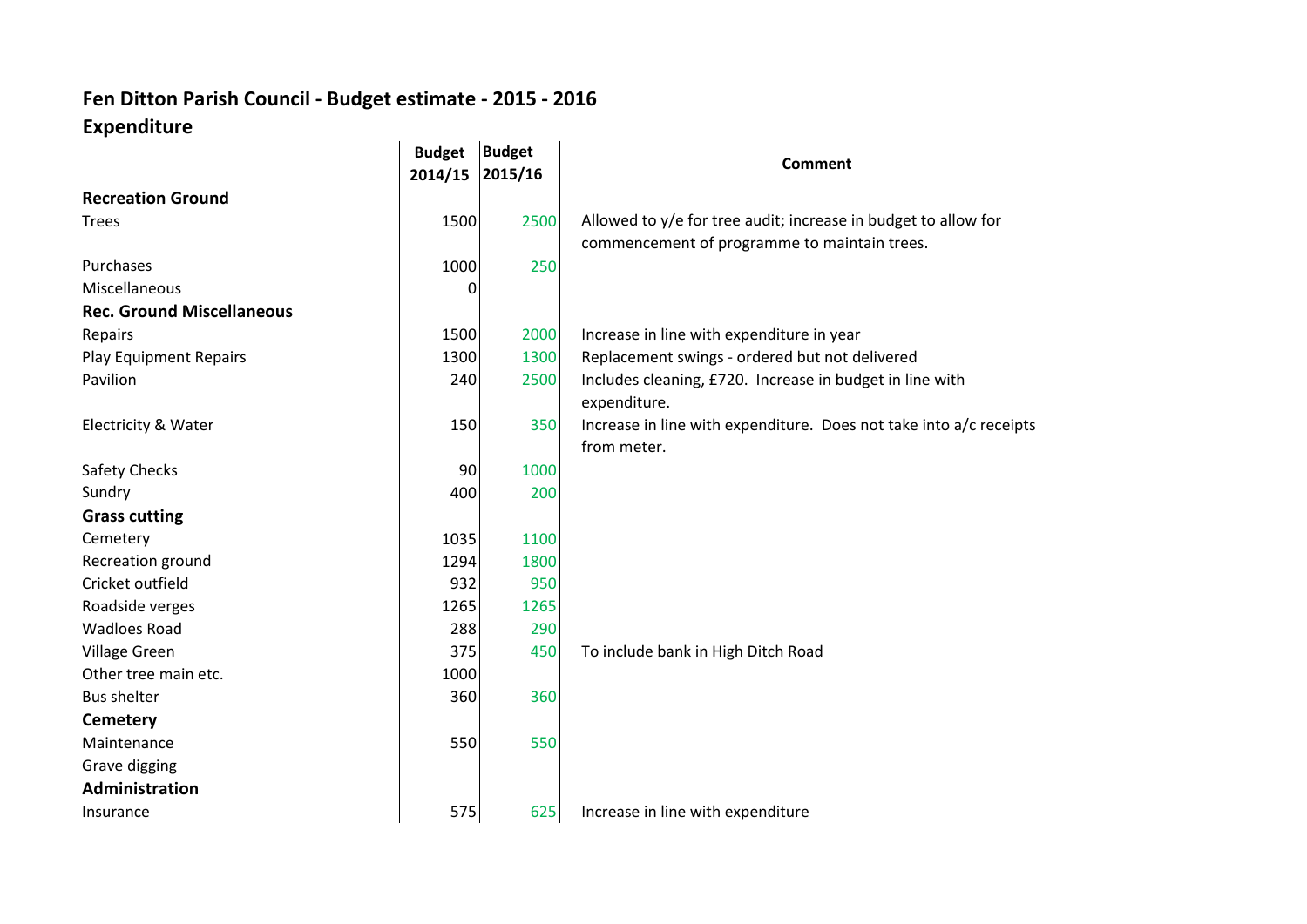## **Fen Ditton Parish Council - Budget estimate - 2015 - 2016 Expenditure**

|                                  | <b>Budget</b> | <b>Budget</b> | <b>Comment</b>                                                     |  |
|----------------------------------|---------------|---------------|--------------------------------------------------------------------|--|
|                                  | 2014/15       | 2015/16       |                                                                    |  |
| <b>Recreation Ground</b>         |               |               |                                                                    |  |
| <b>Trees</b>                     | 1500          | 2500          | Allowed to y/e for tree audit; increase in budget to allow for     |  |
|                                  |               |               | commencement of programme to maintain trees.                       |  |
| Purchases                        | 1000          | 250           |                                                                    |  |
| Miscellaneous                    | 0             |               |                                                                    |  |
| <b>Rec. Ground Miscellaneous</b> |               |               |                                                                    |  |
| Repairs                          | 1500          | 2000          | Increase in line with expenditure in year                          |  |
| <b>Play Equipment Repairs</b>    | 1300          | 1300          | Replacement swings - ordered but not delivered                     |  |
| Pavilion                         | 240           | 2500          | Includes cleaning, £720. Increase in budget in line with           |  |
|                                  |               |               | expenditure.                                                       |  |
| Electricity & Water              | 150           | 350           | Increase in line with expenditure. Does not take into a/c receipts |  |
|                                  |               |               | from meter.                                                        |  |
| <b>Safety Checks</b>             | 90            | 1000          |                                                                    |  |
| Sundry                           | 400           | 200           |                                                                    |  |
| <b>Grass cutting</b>             |               |               |                                                                    |  |
| Cemetery                         | 1035          | 1100          |                                                                    |  |
| Recreation ground                | 1294          | 1800          |                                                                    |  |
| Cricket outfield                 | 932           | 950           |                                                                    |  |
| Roadside verges                  | 1265          | 1265          |                                                                    |  |
| <b>Wadloes Road</b>              | 288           | 290           |                                                                    |  |
| Village Green                    | 375           | 450           | To include bank in High Ditch Road                                 |  |
| Other tree main etc.             | 1000          |               |                                                                    |  |
| <b>Bus shelter</b>               | 360           | 360           |                                                                    |  |
| <b>Cemetery</b>                  |               |               |                                                                    |  |
| Maintenance                      | 550           | 550           |                                                                    |  |
| Grave digging                    |               |               |                                                                    |  |
| Administration                   |               |               |                                                                    |  |
| Insurance                        | 575           | 625           | Increase in line with expenditure                                  |  |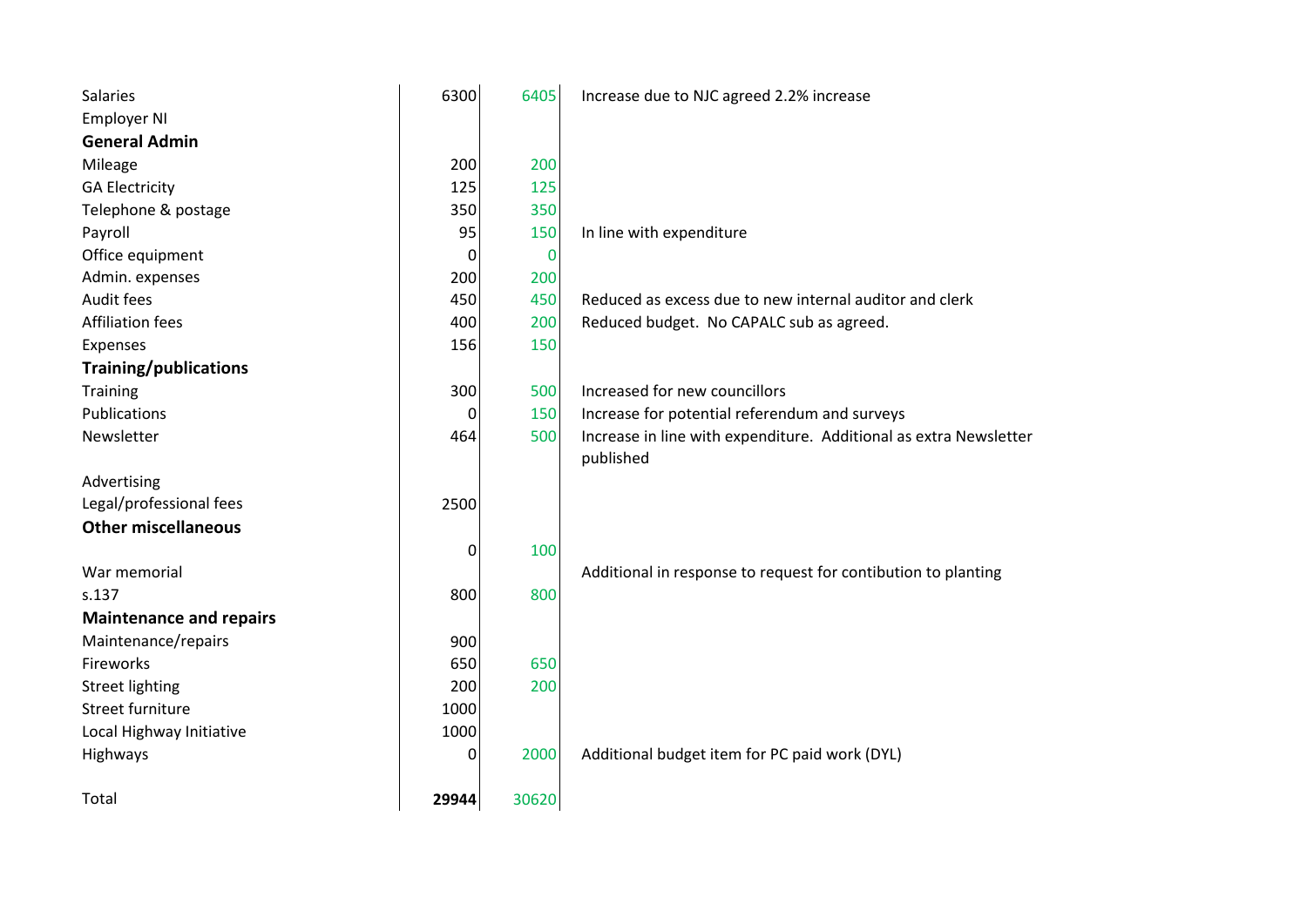| <b>Salaries</b>                | 6300  | 6405  | Increase due to NJC agreed 2.2% increase                          |
|--------------------------------|-------|-------|-------------------------------------------------------------------|
| <b>Employer NI</b>             |       |       |                                                                   |
| <b>General Admin</b>           |       |       |                                                                   |
| Mileage                        | 200   | 200   |                                                                   |
| <b>GA Electricity</b>          | 125   | 125   |                                                                   |
| Telephone & postage            | 350   | 350   |                                                                   |
| Payroll                        | 95    | 150   | In line with expenditure                                          |
| Office equipment               | 0     | 0     |                                                                   |
| Admin. expenses                | 200   | 200   |                                                                   |
| Audit fees                     | 450   | 450   | Reduced as excess due to new internal auditor and clerk           |
| <b>Affiliation fees</b>        | 400   | 200   | Reduced budget. No CAPALC sub as agreed.                          |
| Expenses                       | 156   | 150   |                                                                   |
| Training/publications          |       |       |                                                                   |
| Training                       | 300   | 500   | Increased for new councillors                                     |
| Publications                   | 0     | 150   | Increase for potential referendum and surveys                     |
| Newsletter                     | 464   | 500   | Increase in line with expenditure. Additional as extra Newsletter |
|                                |       |       | published                                                         |
| Advertising                    |       |       |                                                                   |
| Legal/professional fees        | 2500  |       |                                                                   |
| <b>Other miscellaneous</b>     |       |       |                                                                   |
|                                | 0     | 100   |                                                                   |
| War memorial                   |       |       | Additional in response to request for contibution to planting     |
| s.137                          | 800   | 800   |                                                                   |
| <b>Maintenance and repairs</b> |       |       |                                                                   |
| Maintenance/repairs            | 900   |       |                                                                   |
| Fireworks                      | 650   | 650   |                                                                   |
| <b>Street lighting</b>         | 200   | 200   |                                                                   |
| Street furniture               | 1000  |       |                                                                   |
| Local Highway Initiative       | 1000  |       |                                                                   |
| Highways                       | 0     | 2000  | Additional budget item for PC paid work (DYL)                     |
|                                |       |       |                                                                   |
| Total                          | 29944 | 30620 |                                                                   |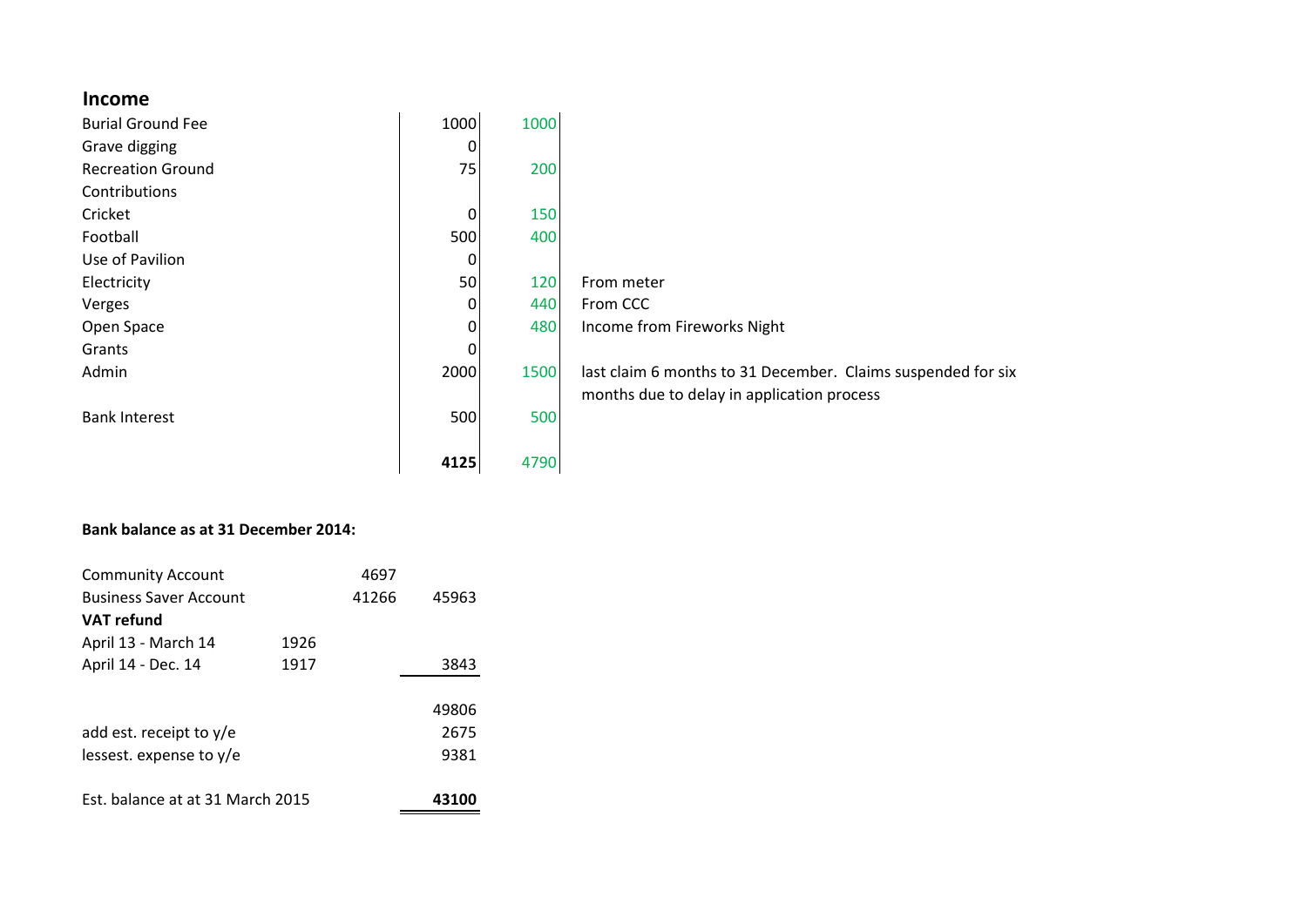## **Income**

| <b>Burial Ground Fee</b> | 1000        | 1000 |                                                              |
|--------------------------|-------------|------|--------------------------------------------------------------|
| Grave digging            | 0           |      |                                                              |
| <b>Recreation Ground</b> | 75          | 200  |                                                              |
| Contributions            |             |      |                                                              |
| Cricket                  | $\mathbf 0$ | 150  |                                                              |
| Football                 | 500         | 400  |                                                              |
| Use of Pavilion          | 0           |      |                                                              |
| Electricity              | 50          | 120  | From meter                                                   |
| Verges                   | 0           | 440  | From CCC                                                     |
| Open Space               | $\Omega$    | 480  | Income from Fireworks Night                                  |
| Grants                   | 0           |      |                                                              |
| Admin                    | 2000        | 1500 | last claim 6 months to 31 December. Claims suspended for six |
|                          |             |      | months due to delay in application process                   |
| <b>Bank Interest</b>     | 500         | 500  |                                                              |
|                          |             |      |                                                              |
|                          | 4125        | 4790 |                                                              |

## **Bank balance as at 31 December 2014:**

| <b>Community Account</b>         |      | 4697  |       |
|----------------------------------|------|-------|-------|
| <b>Business Saver Account</b>    |      | 41266 | 45963 |
| VAT refund                       |      |       |       |
| April 13 - March 14              | 1926 |       |       |
| April 14 - Dec. 14               | 1917 |       | 3843  |
|                                  |      |       |       |
|                                  |      |       | 49806 |
| add est. receipt to $y/e$        |      |       | 2675  |
| lessest. expense to $y/e$        |      |       | 9381  |
|                                  |      |       |       |
| Est. balance at at 31 March 2015 |      |       | 43100 |
|                                  |      |       |       |